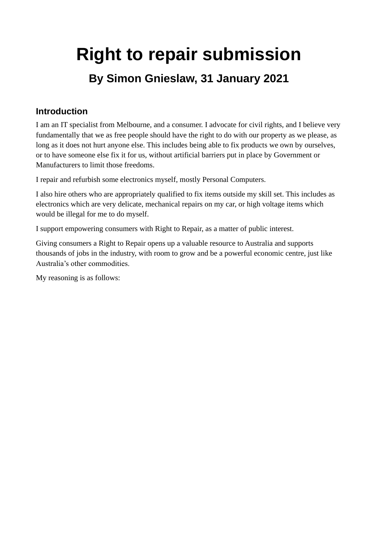# **Right to repair submission By Simon Gnieslaw, 31 January 2021**

#### **Introduction**

I am an IT specialist from Melbourne, and a consumer. I advocate for civil rights, and I believe very fundamentally that we as free people should have the right to do with our property as we please, as long as it does not hurt anyone else. This includes being able to fix products we own by ourselves, or to have someone else fix it for us, without artificial barriers put in place by Government or Manufacturers to limit those freedoms.

I repair and refurbish some electronics myself, mostly Personal Computers.

I also hire others who are appropriately qualified to fix items outside my skill set. This includes as electronics which are very delicate, mechanical repairs on my car, or high voltage items which would be illegal for me to do myself.

I support empowering consumers with Right to Repair, as a matter of public interest.

Giving consumers a Right to Repair opens up a valuable resource to Australia and supports thousands of jobs in the industry, with room to grow and be a powerful economic centre, just like Australia's other commodities.

My reasoning is as follows: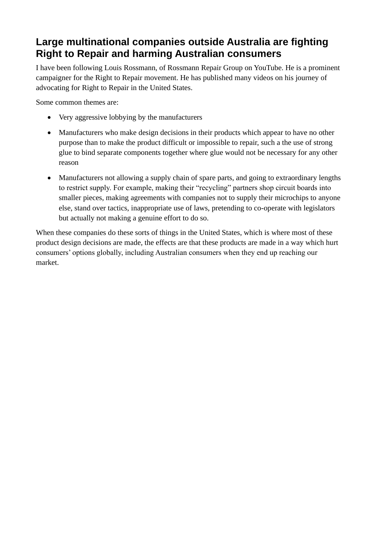## **Large multinational companies outside Australia are fighting Right to Repair and harming Australian consumers**

I have been following Louis Rossmann, of Rossmann Repair Group on YouTube. He is a prominent campaigner for the Right to Repair movement. He has published many videos on his journey of advocating for Right to Repair in the United States.

Some common themes are:

- Very aggressive lobbying by the manufacturers
- Manufacturers who make design decisions in their products which appear to have no other purpose than to make the product difficult or impossible to repair, such a the use of strong glue to bind separate components together where glue would not be necessary for any other reason
- Manufacturers not allowing a supply chain of spare parts, and going to extraordinary lengths to restrict supply. For example, making their "recycling" partners shop circuit boards into smaller pieces, making agreements with companies not to supply their microchips to anyone else, stand over tactics, inappropriate use of laws, pretending to co-operate with legislators but actually not making a genuine effort to do so.

When these companies do these sorts of things in the United States, which is where most of these product design decisions are made, the effects are that these products are made in a way which hurt consumers' options globally, including Australian consumers when they end up reaching our market.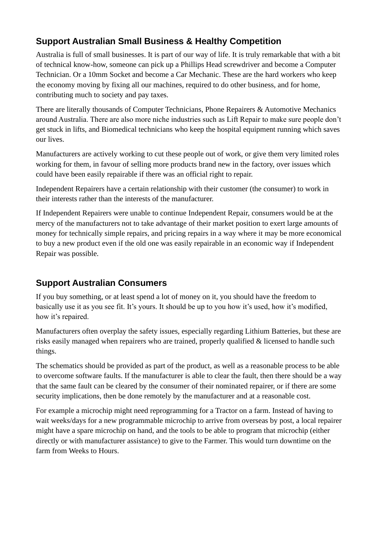## **Support Australian Small Business & Healthy Competition**

Australia is full of small businesses. It is part of our way of life. It is truly remarkable that with a bit of technical know-how, someone can pick up a Phillips Head screwdriver and become a Computer Technician. Or a 10mm Socket and become a Car Mechanic. These are the hard workers who keep the economy moving by fixing all our machines, required to do other business, and for home, contributing much to society and pay taxes.

There are literally thousands of Computer Technicians, Phone Repairers & Automotive Mechanics around Australia. There are also more niche industries such as Lift Repair to make sure people don't get stuck in lifts, and Biomedical technicians who keep the hospital equipment running which saves our lives.

Manufacturers are actively working to cut these people out of work, or give them very limited roles working for them, in favour of selling more products brand new in the factory, over issues which could have been easily repairable if there was an official right to repair.

Independent Repairers have a certain relationship with their customer (the consumer) to work in their interests rather than the interests of the manufacturer.

If Independent Repairers were unable to continue Independent Repair, consumers would be at the mercy of the manufacturers not to take advantage of their market position to exert large amounts of money for technically simple repairs, and pricing repairs in a way where it may be more economical to buy a new product even if the old one was easily repairable in an economic way if Independent Repair was possible.

### **Support Australian Consumers**

If you buy something, or at least spend a lot of money on it, you should have the freedom to basically use it as you see fit. It's yours. It should be up to you how it's used, how it's modified, how it's repaired.

Manufacturers often overplay the safety issues, especially regarding Lithium Batteries, but these are risks easily managed when repairers who are trained, properly qualified & licensed to handle such things.

The schematics should be provided as part of the product, as well as a reasonable process to be able to overcome software faults. If the manufacturer is able to clear the fault, then there should be a way that the same fault can be cleared by the consumer of their nominated repairer, or if there are some security implications, then be done remotely by the manufacturer and at a reasonable cost.

For example a microchip might need reprogramming for a Tractor on a farm. Instead of having to wait weeks/days for a new programmable microchip to arrive from overseas by post, a local repairer might have a spare microchip on hand, and the tools to be able to program that microchip (either directly or with manufacturer assistance) to give to the Farmer. This would turn downtime on the farm from Weeks to Hours.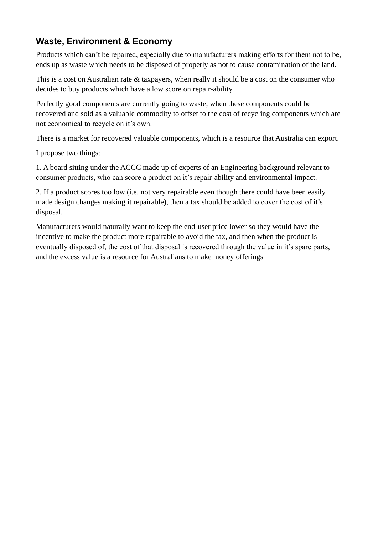#### **Waste, Environment & Economy**

Products which can't be repaired, especially due to manufacturers making efforts for them not to be, ends up as waste which needs to be disposed of properly as not to cause contamination of the land.

This is a cost on Australian rate & taxpayers, when really it should be a cost on the consumer who decides to buy products which have a low score on repair-ability.

Perfectly good components are currently going to waste, when these components could be recovered and sold as a valuable commodity to offset to the cost of recycling components which are not economical to recycle on it's own.

There is a market for recovered valuable components, which is a resource that Australia can export.

I propose two things:

1. A board sitting under the ACCC made up of experts of an Engineering background relevant to consumer products, who can score a product on it's repair-ability and environmental impact.

2. If a product scores too low (i.e. not very repairable even though there could have been easily made design changes making it repairable), then a tax should be added to cover the cost of it's disposal.

Manufacturers would naturally want to keep the end-user price lower so they would have the incentive to make the product more repairable to avoid the tax, and then when the product is eventually disposed of, the cost of that disposal is recovered through the value in it's spare parts, and the excess value is a resource for Australians to make money offerings